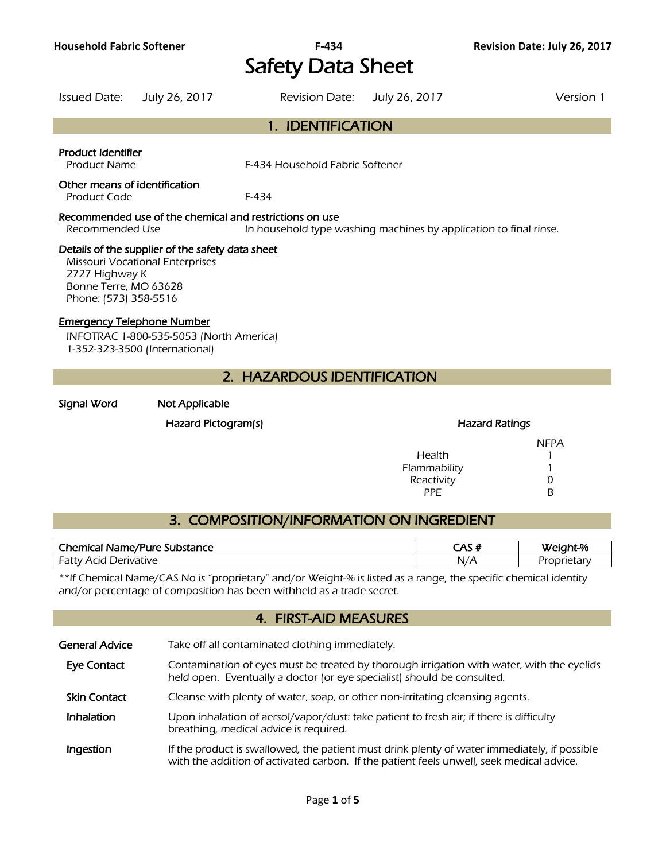# **Household Fabric Softener F-434 Revision Date: July 26, 2017**  Safety Data Sheet

| Issued Date:                                                                                                                                                   | July 26, 2017 | <b>Revision Date:</b>                                   | July 26, 2017                                                     | Version 1 |
|----------------------------------------------------------------------------------------------------------------------------------------------------------------|---------------|---------------------------------------------------------|-------------------------------------------------------------------|-----------|
|                                                                                                                                                                |               | 1. IDENTIFICATION                                       |                                                                   |           |
| <b>Product Identifier</b><br><b>Product Name</b>                                                                                                               |               | F-434 Household Fabric Softener                         |                                                                   |           |
| Other means of identification<br>Product Code                                                                                                                  |               | F-434                                                   |                                                                   |           |
| Recommended Use                                                                                                                                                |               | Recommended use of the chemical and restrictions on use | In household type washing machines by application to final rinse. |           |
| Details of the supplier of the safety data sheet<br><b>Missouri Vocational Enterprises</b><br>2727 Highway K<br>Bonne Terre, MO 63628<br>Phone: (573) 358-5516 |               |                                                         |                                                                   |           |

### Emergency Telephone Number

INFOTRAC 1-800-535-5053 (North America) 1-352-323-3500 (International)

# 2. HAZARDOUS IDENTIFICATION

#### Signal Word Not Applicable

#### Hazard Pictogram(s) extending the Hazard Ratings of Hazard Ratings

|              | <b>NFPA</b> |
|--------------|-------------|
| Health       |             |
| Flammability |             |
| Reactivity   | O           |
| PPF          | R           |

# 3. COMPOSITION/INFORMATION ON INGREDIENT

| /Pure<br><b>Themica</b><br>Substance<br>Name/P<br>. | $\sim$ $\sim$<br>-      |  |
|-----------------------------------------------------|-------------------------|--|
| uative .<br>∴ ााा∖<br>≀∩د<br>חר<br>Ήı<br>aι         | $N_{\ell}$<br>. Δ<br>,, |  |

\*\*If Chemical Name/CAS No is "proprietary" and/or Weight-% is listed as a range, the specific chemical identity and/or percentage of composition has been withheld as a trade secret.

## 4. FIRST-AID MEASURES

| <b>General Advice</b> | Take off all contaminated clothing immediately.                                                                                                                                          |
|-----------------------|------------------------------------------------------------------------------------------------------------------------------------------------------------------------------------------|
| <b>Eye Contact</b>    | Contamination of eyes must be treated by thorough irrigation with water, with the eyelids<br>held open. Eventually a doctor (or eye specialist) should be consulted.                     |
| <b>Skin Contact</b>   | Cleanse with plenty of water, soap, or other non-irritating cleansing agents.                                                                                                            |
| <b>Inhalation</b>     | Upon inhalation of aersol/vapor/dust: take patient to fresh air; if there is difficulty<br>breathing, medical advice is required.                                                        |
| Ingestion             | If the product is swallowed, the patient must drink plenty of water immediately, if possible<br>with the addition of activated carbon. If the patient feels unwell, seek medical advice. |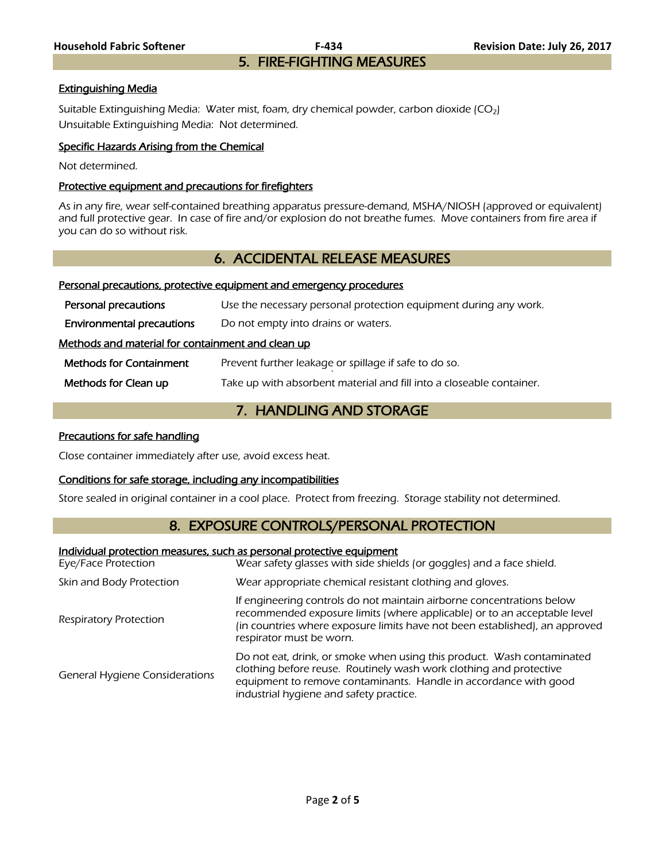#### Extinguishing Media

Suitable Extinguishing Media: Water mist, foam, dry chemical powder, carbon dioxide  $(CO<sub>2</sub>)$ Unsuitable Extinguishing Media: Not determined.

#### Specific Hazards Arising from the Chemical

Not determined.

#### Protective equipment and precautions for firefighters

As in any fire, wear self-contained breathing apparatus pressure-demand, MSHA/NIOSH (approved or equivalent) and full protective gear. In case of fire and/or explosion do not breathe fumes. Move containers from fire area if you can do so without risk.

# 6. ACCIDENTAL RELEASE MEASURES

#### Personal precautions, protective equipment and emergency procedures

| Personal precautions                              | Use the necessary personal protection equipment during any work.     |  |
|---------------------------------------------------|----------------------------------------------------------------------|--|
| <b>Environmental precautions</b>                  | Do not empty into drains or waters.                                  |  |
| Methods and material for containment and clean up |                                                                      |  |
| <b>Methods for Containment</b>                    | Prevent further leakage or spillage if safe to do so.                |  |
| Methods for Clean up                              | Take up with absorbent material and fill into a closeable container. |  |

# 7. HANDLING AND STORAGE

#### Precautions for safe handling

Close container immediately after use, avoid excess heat.

#### Conditions for safe storage, including any incompatibilities

Store sealed in original container in a cool place. Protect from freezing. Storage stability not determined.

# 8. EXPOSURE CONTROLS/PERSONAL PROTECTION

#### Individual protection measures, such as personal protective equipment

| Eye/Face Protection                   | Wear safety glasses with side shields (or goggles) and a face shield.                                                                                                                                                                                        |  |
|---------------------------------------|--------------------------------------------------------------------------------------------------------------------------------------------------------------------------------------------------------------------------------------------------------------|--|
| Skin and Body Protection              | Wear appropriate chemical resistant clothing and gloves.                                                                                                                                                                                                     |  |
| <b>Respiratory Protection</b>         | If engineering controls do not maintain airborne concentrations below<br>recommended exposure limits (where applicable) or to an acceptable level<br>(in countries where exposure limits have not been established), an approved<br>respirator must be worn. |  |
| <b>General Hygiene Considerations</b> | Do not eat, drink, or smoke when using this product. Wash contaminated<br>clothing before reuse. Routinely wash work clothing and protective<br>equipment to remove contaminants. Handle in accordance with good<br>industrial hygiene and safety practice.  |  |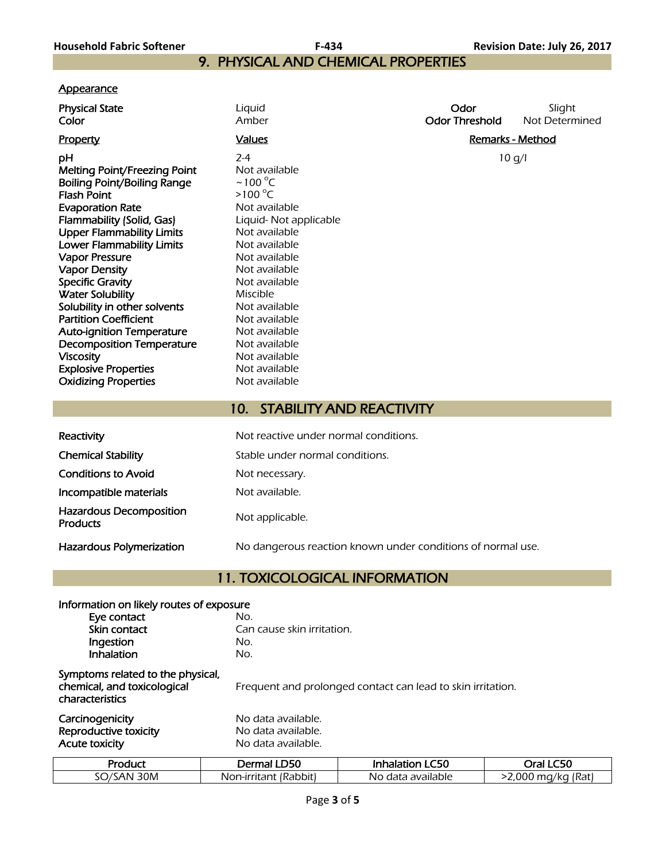# 9. PHYSICAL AND CHEMICAL PROPERTIES

### **Appearance**

| <b>Physical State</b><br>Color                                                                                                                                                                                                                                                                                                                                                                                                                                                                                                                                         | Liquid<br>Amber                                                                                                                                                                                                                                                                                                                         | Odor<br><b>Odor Threshold</b> | Slight<br>Not Determined |
|------------------------------------------------------------------------------------------------------------------------------------------------------------------------------------------------------------------------------------------------------------------------------------------------------------------------------------------------------------------------------------------------------------------------------------------------------------------------------------------------------------------------------------------------------------------------|-----------------------------------------------------------------------------------------------------------------------------------------------------------------------------------------------------------------------------------------------------------------------------------------------------------------------------------------|-------------------------------|--------------------------|
| <b>Property</b>                                                                                                                                                                                                                                                                                                                                                                                                                                                                                                                                                        | <b>Values</b>                                                                                                                                                                                                                                                                                                                           | <b>Remarks - Method</b>       |                          |
| pH<br><b>Melting Point/Freezing Point</b><br><b>Boiling Point/Boiling Range</b><br><b>Flash Point</b><br><b>Evaporation Rate</b><br>Flammability (Solid, Gas)<br><b>Upper Flammability Limits</b><br><b>Lower Flammability Limits</b><br><b>Vapor Pressure</b><br><b>Vapor Density</b><br><b>Specific Gravity</b><br><b>Water Solubility</b><br>Solubility in other solvents<br><b>Partition Coefficient</b><br><b>Auto-ignition Temperature</b><br><b>Decomposition Temperature</b><br><b>Viscosity</b><br><b>Explosive Properties</b><br><b>Oxidizing Properties</b> | $2 - 4$<br>Not available<br>$\sim$ 100 °C<br>$>100^{\circ}$ C<br>Not available<br>Liquid- Not applicable<br>Not available<br>Not available<br>Not available<br>Not available<br>Not available<br><b>Miscible</b><br>Not available<br>Not available<br>Not available<br>Not available<br>Not available<br>Not available<br>Not available | 10 g/l                        |                          |
|                                                                                                                                                                                                                                                                                                                                                                                                                                                                                                                                                                        |                                                                                                                                                                                                                                                                                                                                         |                               |                          |
|                                                                                                                                                                                                                                                                                                                                                                                                                                                                                                                                                                        | <b>STABILITY AND REACTIVITY</b><br>10.                                                                                                                                                                                                                                                                                                  |                               |                          |
| Reactivity                                                                                                                                                                                                                                                                                                                                                                                                                                                                                                                                                             | Not reactive under normal conditions.                                                                                                                                                                                                                                                                                                   |                               |                          |
| <b>Chemical Stability</b>                                                                                                                                                                                                                                                                                                                                                                                                                                                                                                                                              | Stable under normal conditions.                                                                                                                                                                                                                                                                                                         |                               |                          |
| <b>Conditions to Avoid</b>                                                                                                                                                                                                                                                                                                                                                                                                                                                                                                                                             | Not necessary.                                                                                                                                                                                                                                                                                                                          |                               |                          |

Incompatible materials Not available.

Hazardous Decomposition Hazardous Decomposition<br>Products Products

Hazardous Polymerization No dangerous reaction known under conditions of normal use.

# 11. TOXICOLOGICAL INFORMATION

| Information on likely routes of exposure                                            |                    |                                                             |           |  |
|-------------------------------------------------------------------------------------|--------------------|-------------------------------------------------------------|-----------|--|
| Eye contact                                                                         | No.                |                                                             |           |  |
| Skin contact                                                                        |                    | Can cause skin irritation.                                  |           |  |
| Ingestion                                                                           | No.                |                                                             |           |  |
| Inhalation                                                                          | No.                |                                                             |           |  |
| Symptoms related to the physical,<br>chemical, and toxicological<br>characteristics |                    | Frequent and prolonged contact can lead to skin irritation. |           |  |
| Carcinogenicity                                                                     | No data available. |                                                             |           |  |
| Reproductive toxicity                                                               | No data available. |                                                             |           |  |
| Acute toxicity                                                                      | No data available. |                                                             |           |  |
| Product                                                                             | Dermal LD50        | <b>Inhalation LC50</b>                                      | Oral LC50 |  |

SO/SAN 30M Non-irritant (Rabbit) No data available >2,000 mg/kg (Rat)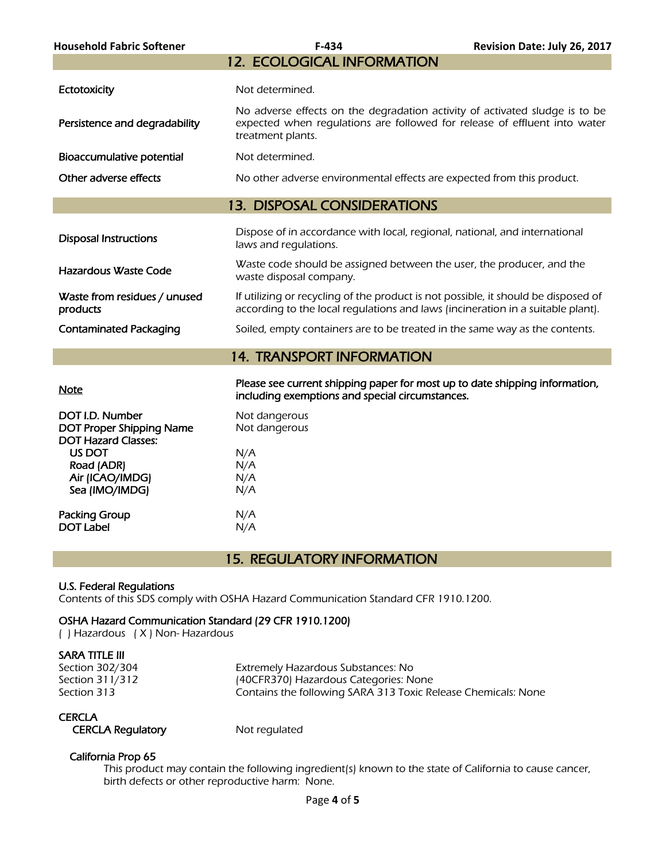| <b>Household Fabric Softener</b>                                                 | F-434                                                                                                                                                                         | Revision Date: July 26, 2017 |
|----------------------------------------------------------------------------------|-------------------------------------------------------------------------------------------------------------------------------------------------------------------------------|------------------------------|
|                                                                                  | <b>12. ECOLOGICAL INFORMATION</b>                                                                                                                                             |                              |
| Ectotoxicity                                                                     | Not determined.                                                                                                                                                               |                              |
| Persistence and degradability                                                    | No adverse effects on the degradation activity of activated sludge is to be<br>expected when requlations are followed for release of effluent into water<br>treatment plants. |                              |
| Bioaccumulative potential                                                        | Not determined.                                                                                                                                                               |                              |
| Other adverse effects                                                            | No other adverse environmental effects are expected from this product.                                                                                                        |                              |
|                                                                                  | <b>13. DISPOSAL CONSIDERATIONS</b>                                                                                                                                            |                              |
| <b>Disposal Instructions</b>                                                     | Dispose of in accordance with local, regional, national, and international<br>laws and regulations.                                                                           |                              |
| <b>Hazardous Waste Code</b>                                                      | Waste code should be assigned between the user, the producer, and the<br>waste disposal company.                                                                              |                              |
| Waste from residues / unused<br>products                                         | If utilizing or recycling of the product is not possible, it should be disposed of<br>according to the local regulations and laws (incineration in a suitable plant).         |                              |
| <b>Contaminated Packaging</b>                                                    | Soiled, empty containers are to be treated in the same way as the contents.                                                                                                   |                              |
|                                                                                  | <b>14. TRANSPORT INFORMATION</b>                                                                                                                                              |                              |
| <b>Note</b>                                                                      | Please see current shipping paper for most up to date shipping information,<br>including exemptions and special circumstances.                                                |                              |
| DOT I.D. Number<br><b>DOT Proper Shipping Name</b><br><b>DOT Hazard Classes:</b> | Not dangerous<br>Not dangerous                                                                                                                                                |                              |
| US DOT<br>Road (ADR)<br>Air (ICAO/IMDG)<br>Sea (IMO/IMDG)                        | N/A<br>N/A<br>N/A<br>N/A                                                                                                                                                      |                              |
| <b>Packing Group</b><br><b>DOT Label</b>                                         | N/A<br>N/A                                                                                                                                                                    |                              |
|                                                                                  |                                                                                                                                                                               |                              |

# 15. REGULATORY INFORMATION

#### U.S. Federal Regulations

Contents of this SDS comply with OSHA Hazard Communication Standard CFR 1910.1200.

#### OSHA Hazard Communication Standard (29 CFR 1910.1200)

( ) Hazardous ( X ) Non- Hazardous

### SARA TITLE III

Section 302/304 Extremely Hazardous Substances: No Section 311/312 (40CFR370) Hazardous Categories: None Section 313 **Section 313** Contains the following SARA 313 Toxic Release Chemicals: None

#### **CERCLA**

CERCLA Regulatory Mot regulated

#### California Prop 65

 This product may contain the following ingredient(s) known to the state of California to cause cancer, birth defects or other reproductive harm: None.